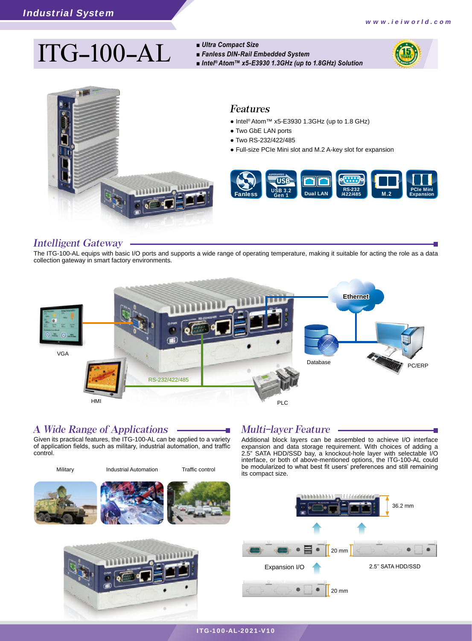# $\prod$ **C**  $-100$   $-AL$  **a**  $\prod_{\text{finite}^{\otimes}$  *A*l *b*  $\prod_{\text{finite}^{\otimes}$  *Atom™ x5-E3930 1.3GHz (up to 1.8GHz) Solution*

- *Ultra Compact Size*
- *Fanless DIN-Rail Embedded System*
	-





### Features

- Intel® Atom™ x5-E3930 1.3GHz (up to 1.8 GHz)
- Two GbE LAN ports
- Two RS-232/422/485
- Full-size PCIe Mini slot and M.2 A-key slot for expansion



### Intelligent Gateway

The ITG-100-AL equips with basic I/O ports and supports a wide range of operating temperature, making it suitable for acting the role as a data collection gateway in smart factory environments.



### A Wide Range of Applications

Given its practical features, the ITG-100-AL can be applied to a variety of application fields, such as military, industrial automation, and traffic control.



## Multi-layer Feature

Additional block layers can be assembled to achieve I/O interface expansion and data storage requirement. With choices of adding a 2.5" SATA HDD/SSD bay, a knockout-hole layer with selectable I/O interface, or both of above-mentioned options, the ITG-100-AL could be modularized to what best fit users' preferences and still remaining

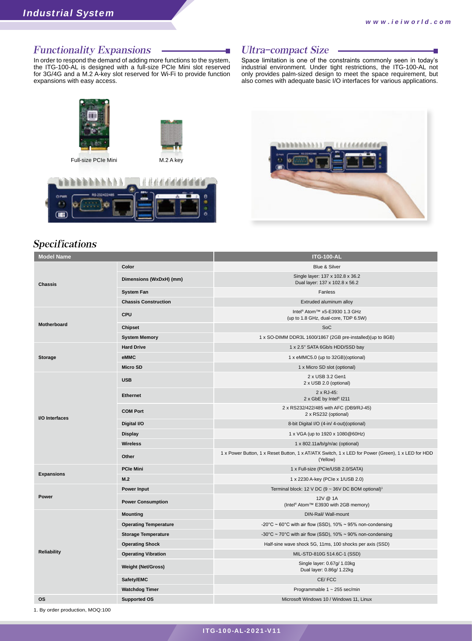### Functionality Expansions

In order to respond the demand of adding more functions to the system, the ITG-100-AL is designed with a full-size PCIe Mini slot reserved for 3G/4G and a M.2 A-key slot reserved for Wi-Fi to provide function expansions with easy access.

### Ultra-compact Size

Space limitation is one of the constraints commonly seen in today's industrial environment. Under tight restrictions, the ITG-100-AL not only provides palm-sized design to meet the space requirement, but also comes with adequate basic I/O interfaces for various applications.



### Specifications

| <b>Model Name</b>     |                              | <b>ITG-100-AL</b>                                                                                             |  |
|-----------------------|------------------------------|---------------------------------------------------------------------------------------------------------------|--|
| <b>Chassis</b>        | Color                        | Blue & Silver                                                                                                 |  |
|                       | Dimensions (WxDxH) (mm)      | Single layer: 137 x 102.8 x 36.2<br>Dual layer: 137 x 102.8 x 56.2                                            |  |
|                       | <b>System Fan</b>            | Fanless                                                                                                       |  |
|                       | <b>Chassis Construction</b>  | Extruded aluminum alloy                                                                                       |  |
| Motherboard           | <b>CPU</b>                   | Intel <sup>®</sup> Atom <sup>™</sup> x5-E3930 1.3 GHz<br>(up to 1.8 GHz, dual-core, TDP 6.5W)                 |  |
|                       | Chipset                      | SoC                                                                                                           |  |
|                       | <b>System Memory</b>         | 1 x SO-DIMM DDR3L 1600/1867 (2GB pre-installed)(up to 8GB)                                                    |  |
| <b>Storage</b>        | <b>Hard Drive</b>            | 1 x 2.5" SATA 6Gb/s HDD/SSD bay                                                                               |  |
|                       | eMMC                         | 1 x eMMC5.0 (up to 32GB)(optional)                                                                            |  |
|                       | <b>Micro SD</b>              | 1 x Micro SD slot (optional)                                                                                  |  |
| <b>I/O</b> Interfaces | <b>USB</b>                   | 2 x USB 3.2 Gen1<br>2 x USB 2.0 (optional)                                                                    |  |
|                       | <b>Ethernet</b>              | 2 x RJ-45:<br>2 x GbE by Intel <sup>®</sup> I211                                                              |  |
|                       | <b>COM Port</b>              | 2 x RS232/422/485 with AFC (DB9/RJ-45)<br>2 x RS232 (optional)                                                |  |
|                       | Digital I/O                  | 8-bit Digital I/O (4-in/ 4-out)(optional)                                                                     |  |
|                       | <b>Display</b>               | 1 x VGA (up to 1920 x 1080@60Hz)                                                                              |  |
|                       | <b>Wireless</b>              | 1 x 802.11a/b/g/n/ac (optional)                                                                               |  |
|                       | Other                        | 1 x Power Button, 1 x Reset Button, 1 x AT/ATX Switch, 1 x LED for Power (Green), 1 x LED for HDD<br>(Yellow) |  |
| <b>Expansions</b>     | <b>PCle Mini</b>             | 1 x Full-size (PCIe/USB 2.0/SATA)                                                                             |  |
|                       | M.2                          | 1 x 2230 A-key (PCIe x 1/USB 2.0)                                                                             |  |
| Power                 | Power Input                  | Terminal block: 12 V DC (9 ~ 36V DC BOM optional) <sup>1</sup>                                                |  |
|                       | <b>Power Consumption</b>     | 12V @ 1A<br>(Intel <sup>®</sup> Atom™ E3930 with 2GB memory)                                                  |  |
| Reliability           | <b>Mounting</b>              | DIN-Rail/ Wall-mount                                                                                          |  |
|                       | <b>Operating Temperature</b> | -20°C ~ 60°C with air flow (SSD), 10% ~ 95% non-condensing                                                    |  |
|                       | <b>Storage Temperature</b>   | -30°C ~ 70°C with air flow (SSD), 10% ~ 90% non-condensing                                                    |  |
|                       | <b>Operating Shock</b>       | Half-sine wave shock 5G, 11ms, 100 shocks per axis (SSD)                                                      |  |
|                       | <b>Operating Vibration</b>   | MIL-STD-810G 514.6C-1 (SSD)                                                                                   |  |
|                       | <b>Weight (Net/Gross)</b>    | Single layer: 0.67g/ 1.03kg<br>Dual layer: 0.86g/ 1.22kg                                                      |  |
|                       | Safety/EMC                   | CE/FCC                                                                                                        |  |
|                       | <b>Watchdog Timer</b>        | Programmable $1 \sim 255$ sec/min                                                                             |  |
| <b>OS</b>             | <b>Supported OS</b>          | Microsoft Windows 10 / Windows 11, Linux                                                                      |  |

1. By order production, MOQ:100